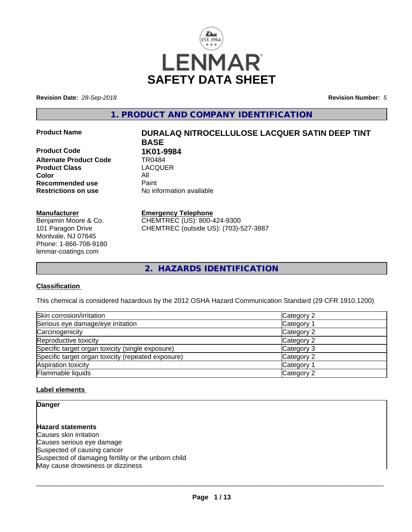

**Revision Date:** *28-Sep-2018* **Revision Number:** *5*

**1. PRODUCT AND COMPANY IDENTIFICATION**

**Product Code 1K01-9984**<br>Alternate Product Code 1R0484 **Alternate Product Code TR0484<br>
<b>Product Class** LACQUER **Product Class Color** All **Recommended use** Paint<br> **Restrictions on use** Mo information available **Restrictions on use** 

#### **Manufacturer**

Benjamin Moore & Co. 101 Paragon Drive Montvale, NJ 07645 Phone: 1-866-708-9180 lenmar-coatings.com

# **Product Name DURALAQ NITROCELLULOSE LACQUER SATIN DEEP TINT BASE**

#### **Emergency Telephone**

CHEMTREC (US): 800-424-9300 CHEMTREC (outside US): (703)-527-3887

**2. HAZARDS IDENTIFICATION**

#### **Classification**

This chemical is considered hazardous by the 2012 OSHA Hazard Communication Standard (29 CFR 1910.1200)

| Skin corrosion/irritation                          | Category 2 |
|----------------------------------------------------|------------|
| Serious eye damage/eye irritation                  | Category 1 |
| Carcinogenicity                                    | Category 2 |
| Reproductive toxicity                              | Category 2 |
| Specific target organ toxicity (single exposure)   | Category 3 |
| Specific target organ toxicity (repeated exposure) | Category 2 |
| Aspiration toxicity                                | Category 1 |
| Flammable liquids                                  | Category 2 |

#### **Label elements**

**Danger**

**Hazard statements** Causes skin irritation Causes serious eye damage Suspected of causing cancer Suspected of damaging fertility or the unborn child May cause drowsiness or dizziness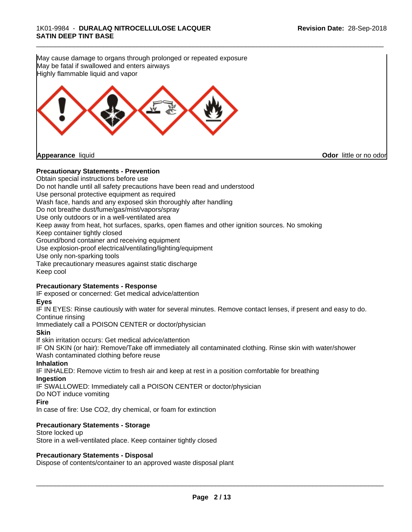**Precautionary Statements - Prevention** Obtain special instructions before use May cause damage to organs through prolonged or repeated exposure May be fatal if swallowed and enters airways Highly flammable liquid and vapor **Appearance** liquid **Odor** little or no odor

\_\_\_\_\_\_\_\_\_\_\_\_\_\_\_\_\_\_\_\_\_\_\_\_\_\_\_\_\_\_\_\_\_\_\_\_\_\_\_\_\_\_\_\_\_\_\_\_\_\_\_\_\_\_\_\_\_\_\_\_\_\_\_\_\_\_\_\_\_\_\_\_\_\_\_\_\_\_\_\_\_\_\_\_\_\_\_\_\_\_\_\_\_

Do not handle until all safety precautions have been read and understood Use personal protective equipment as required Wash face, hands and any exposed skin thoroughly after handling Do not breathe dust/fume/gas/mist/vapors/spray Use only outdoors or in a well-ventilated area Keep away from heat, hot surfaces, sparks, open flames and other ignition sources. No smoking Keep container tightly closed Ground/bond container and receiving equipment Use explosion-proof electrical/ventilating/lighting/equipment Use only non-sparking tools Take precautionary measures against static discharge Keep cool

#### **Precautionary Statements - Response**

IF exposed or concerned: Get medical advice/attention

#### **Eyes**

IF IN EYES: Rinse cautiously with water for several minutes. Remove contact lenses, if present and easy to do. Continue rinsing

Immediately call a POISON CENTER or doctor/physician

**Skin**

If skin irritation occurs: Get medical advice/attention IF ON SKIN (or hair): Remove/Take off immediately all contaminated clothing. Rinse skin with water/shower

Wash contaminated clothing before reuse

#### **Inhalation**

IF INHALED: Remove victim to fresh air and keep at rest in a position comfortable for breathing **Ingestion**

IF SWALLOWED: Immediately call a POISON CENTER or doctor/physician

Do NOT induce vomiting

#### **Fire**

In case of fire: Use CO2, dry chemical, or foam for extinction

#### **Precautionary Statements - Storage**

Store locked up Store in a well-ventilated place. Keep container tightly closed

#### **Precautionary Statements - Disposal**

Dispose of contents/container to an approved waste disposal plant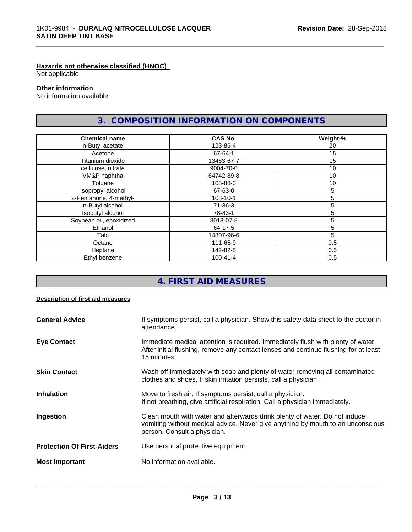#### **Hazards not otherwise classified (HNOC)**

Not applicable

#### **Other information**

No information available

# **3. COMPOSITION INFORMATION ON COMPONENTS**

\_\_\_\_\_\_\_\_\_\_\_\_\_\_\_\_\_\_\_\_\_\_\_\_\_\_\_\_\_\_\_\_\_\_\_\_\_\_\_\_\_\_\_\_\_\_\_\_\_\_\_\_\_\_\_\_\_\_\_\_\_\_\_\_\_\_\_\_\_\_\_\_\_\_\_\_\_\_\_\_\_\_\_\_\_\_\_\_\_\_\_\_\_

| <b>Chemical name</b>    | CAS No.        | Weight-% |
|-------------------------|----------------|----------|
| n-Butyl acetate         | 123-86-4       | 20       |
| Acetone                 | 67-64-1        | 15       |
| Titanium dioxide        | 13463-67-7     | 15       |
| cellulose, nitrate      | 9004-70-0      | 10       |
| VM&P naphtha            | 64742-89-8     | 10       |
| Toluene                 | 108-88-3       | 10       |
| Isopropyl alcohol       | 67-63-0        | 5        |
| 2-Pentanone, 4-methyl-  | 108-10-1       | 5        |
| n-Butyl alcohol         | $71-36-3$      | 5        |
| Isobutyl alcohol        | 78-83-1        | 5        |
| Soybean oil, epoxidized | 8013-07-8      | 5        |
| Ethanol                 | 64-17-5        | 5        |
| Talc                    | 14807-96-6     | 5        |
| Octane                  | 111-65-9       | 0.5      |
| Heptane                 | 142-82-5       | 0.5      |
| Ethyl benzene           | $100 - 41 - 4$ | 0.5      |

# **4. FIRST AID MEASURES**

#### **Description of first aid measures**

| <b>General Advice</b>             | If symptoms persist, call a physician. Show this safety data sheet to the doctor in<br>attendance.                                                                                            |
|-----------------------------------|-----------------------------------------------------------------------------------------------------------------------------------------------------------------------------------------------|
| <b>Eye Contact</b>                | Immediate medical attention is required. Immediately flush with plenty of water.<br>After initial flushing, remove any contact lenses and continue flushing for at least<br>15 minutes.       |
| <b>Skin Contact</b>               | Wash off immediately with soap and plenty of water removing all contaminated<br>clothes and shoes. If skin irritation persists, call a physician.                                             |
| <b>Inhalation</b>                 | Move to fresh air. If symptoms persist, call a physician.<br>If not breathing, give artificial respiration. Call a physician immediately.                                                     |
| Ingestion                         | Clean mouth with water and afterwards drink plenty of water. Do not induce<br>vomiting without medical advice. Never give anything by mouth to an unconscious<br>person. Consult a physician. |
| <b>Protection Of First-Aiders</b> | Use personal protective equipment.                                                                                                                                                            |
| <b>Most Important</b>             | No information available.                                                                                                                                                                     |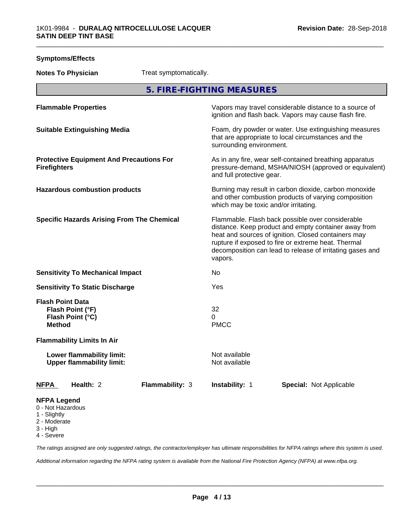**Symptoms/Effects**

| <b>Notes To Physician</b>                                                                         | Treat symptomatically. |                                                                                                                                              |                                                                                                                                                                                                                                                                                     |  |
|---------------------------------------------------------------------------------------------------|------------------------|----------------------------------------------------------------------------------------------------------------------------------------------|-------------------------------------------------------------------------------------------------------------------------------------------------------------------------------------------------------------------------------------------------------------------------------------|--|
| 5. FIRE-FIGHTING MEASURES                                                                         |                        |                                                                                                                                              |                                                                                                                                                                                                                                                                                     |  |
| <b>Flammable Properties</b>                                                                       |                        |                                                                                                                                              | Vapors may travel considerable distance to a source of<br>ignition and flash back. Vapors may cause flash fire.                                                                                                                                                                     |  |
| <b>Suitable Extinguishing Media</b>                                                               |                        |                                                                                                                                              | Foam, dry powder or water. Use extinguishing measures<br>that are appropriate to local circumstances and the<br>surrounding environment.                                                                                                                                            |  |
| <b>Protective Equipment And Precautions For</b><br><b>Firefighters</b>                            |                        | As in any fire, wear self-contained breathing apparatus<br>pressure-demand, MSHA/NIOSH (approved or equivalent)<br>and full protective gear. |                                                                                                                                                                                                                                                                                     |  |
| <b>Hazardous combustion products</b>                                                              |                        | which may be toxic and/or irritating.                                                                                                        | Burning may result in carbon dioxide, carbon monoxide<br>and other combustion products of varying composition                                                                                                                                                                       |  |
| <b>Specific Hazards Arising From The Chemical</b>                                                 |                        | vapors.                                                                                                                                      | Flammable. Flash back possible over considerable<br>distance. Keep product and empty container away from<br>heat and sources of ignition. Closed containers may<br>rupture if exposed to fire or extreme heat. Thermal<br>decomposition can lead to release of irritating gases and |  |
| <b>Sensitivity To Mechanical Impact</b>                                                           |                        | No                                                                                                                                           |                                                                                                                                                                                                                                                                                     |  |
| <b>Sensitivity To Static Discharge</b>                                                            |                        | Yes                                                                                                                                          |                                                                                                                                                                                                                                                                                     |  |
| <b>Flash Point Data</b><br>Flash Point (°F)<br>Flash Point (°C)<br><b>Method</b>                  |                        | 32<br>0<br><b>PMCC</b>                                                                                                                       |                                                                                                                                                                                                                                                                                     |  |
| <b>Flammability Limits In Air</b>                                                                 |                        |                                                                                                                                              |                                                                                                                                                                                                                                                                                     |  |
| Lower flammability limit:<br><b>Upper flammability limit:</b>                                     |                        | Not available<br>Not available                                                                                                               |                                                                                                                                                                                                                                                                                     |  |
| Health: 2<br><b>NFPA</b>                                                                          | Flammability: 3        | Instability: 1                                                                                                                               | Special: Not Applicable                                                                                                                                                                                                                                                             |  |
| <b>NFPA Legend</b><br>0 - Not Hazardous<br>1 - Slightly<br>2 - Moderate<br>3 - High<br>4 - Severe |                        |                                                                                                                                              |                                                                                                                                                                                                                                                                                     |  |

*The ratings assigned are only suggested ratings, the contractor/employer has ultimate responsibilities for NFPA ratings where this system is used.*

*Additional information regarding the NFPA rating system is available from the National Fire Protection Agency (NFPA) at www.nfpa.org.*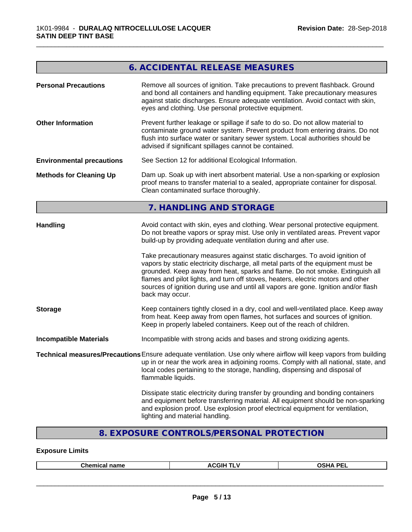# **6. ACCIDENTAL RELEASE MEASURES**

| <b>Personal Precautions</b>      | Remove all sources of ignition. Take precautions to prevent flashback. Ground<br>and bond all containers and handling equipment. Take precautionary measures<br>against static discharges. Ensure adequate ventilation. Avoid contact with skin,<br>eyes and clothing. Use personal protective equipment.                                                       |
|----------------------------------|-----------------------------------------------------------------------------------------------------------------------------------------------------------------------------------------------------------------------------------------------------------------------------------------------------------------------------------------------------------------|
| <b>Other Information</b>         | Prevent further leakage or spillage if safe to do so. Do not allow material to<br>contaminate ground water system. Prevent product from entering drains. Do not<br>flush into surface water or sanitary sewer system. Local authorities should be<br>advised if significant spillages cannot be contained.                                                      |
| <b>Environmental precautions</b> | See Section 12 for additional Ecological Information.                                                                                                                                                                                                                                                                                                           |
| <b>Methods for Cleaning Up</b>   | Dam up. Soak up with inert absorbent material. Use a non-sparking or explosion<br>proof means to transfer material to a sealed, appropriate container for disposal.<br>Clean contaminated surface thoroughly.                                                                                                                                                   |
|                                  | 7. HANDLING AND STORAGE                                                                                                                                                                                                                                                                                                                                         |
| <b>Handling</b>                  | Avoid contact with skin, eyes and clothing. Wear personal protective equipment.<br>Do not breathe vapors or spray mist. Use only in ventilated areas. Prevent vapor<br>build-up by providing adequate ventilation during and after use.<br>Take precautionary measures against static discharges. To avoid ignition of                                          |
|                                  | vapors by static electricity discharge, all metal parts of the equipment must be<br>grounded. Keep away from heat, sparks and flame. Do not smoke. Extinguish all<br>flames and pilot lights, and turn off stoves, heaters, electric motors and other<br>sources of ignition during use and until all vapors are gone. Ignition and/or flash<br>back may occur. |
| Storage                          | Keep containers tightly closed in a dry, cool and well-ventilated place. Keep away<br>from heat. Keep away from open flames, hot surfaces and sources of ignition.<br>Keep in properly labeled containers. Keep out of the reach of children.                                                                                                                   |
| <b>Incompatible Materials</b>    | Incompatible with strong acids and bases and strong oxidizing agents.                                                                                                                                                                                                                                                                                           |
|                                  | Technical measures/Precautions Ensure adequate ventilation. Use only where airflow will keep vapors from building<br>up in or near the work area in adjoining rooms. Comply with all national, state, and<br>local codes pertaining to the storage, handling, dispensing and disposal of<br>flammable liquids.                                                  |
|                                  | Dissipate static electricity during transfer by grounding and bonding containers<br>and equipment before transferring material. All equipment should be non-sparking<br>and explosion proof. Use explosion proof electrical equipment for ventilation,<br>lighting and material handling.                                                                       |
|                                  |                                                                                                                                                                                                                                                                                                                                                                 |

# **8. EXPOSURE CONTROLS/PERSONAL PROTECTION**

### **Exposure Limits**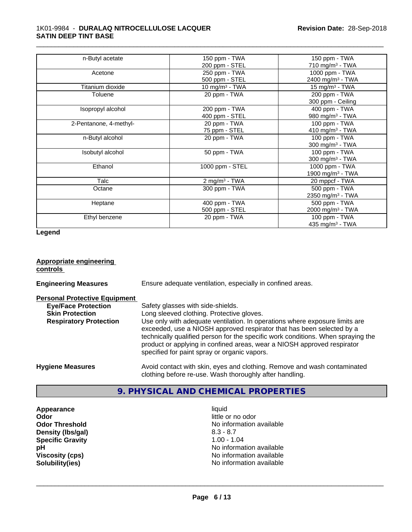| n-Butyl acetate        | 150 ppm - TWA            | 150 ppm - TWA                |
|------------------------|--------------------------|------------------------------|
|                        | 200 ppm - STEL           | 710 mg/m <sup>3</sup> - TWA  |
| Acetone                | 250 ppm - TWA            | 1000 ppm - TWA               |
|                        | 500 ppm - STEL           | 2400 mg/m <sup>3</sup> - TWA |
| Titanium dioxide       | 10 mg/m $3$ - TWA        | 15 mg/m $3$ - TWA            |
| Toluene                | 20 ppm - TWA             | 200 ppm - TWA                |
|                        |                          | 300 ppm - Ceiling            |
| Isopropyl alcohol      | 200 ppm - TWA            | 400 ppm - TWA                |
|                        | 400 ppm - STEL           | 980 mg/m <sup>3</sup> - TWA  |
| 2-Pentanone, 4-methyl- | 20 ppm - TWA             | 100 ppm - TWA                |
|                        | 75 ppm - STEL            | 410 mg/m $3$ - TWA           |
| n-Butyl alcohol        | 20 ppm - TWA             | 100 ppm - TWA                |
|                        |                          | 300 mg/m <sup>3</sup> - TWA  |
| Isobutyl alcohol       | 50 ppm - TWA             | 100 ppm - TWA                |
|                        |                          | 300 mg/m <sup>3</sup> - TWA  |
| Ethanol                | 1000 ppm - STEL          | 1000 ppm - TWA               |
|                        |                          | 1900 mg/m <sup>3</sup> - TWA |
| Talc                   | $2 \text{ mg/m}^3$ - TWA | 20 mppcf - TWA               |
| Octane                 | 300 ppm - TWA            | 500 ppm - TWA                |
|                        |                          | 2350 mg/m <sup>3</sup> - TWA |
| Heptane                | 400 ppm - TWA            | 500 ppm - TWA                |
|                        | 500 ppm - STEL           | 2000 mg/m <sup>3</sup> - TWA |
| Ethyl benzene          | 20 ppm - TWA             | 100 ppm - TWA                |
|                        |                          | 435 mg/m <sup>3</sup> - TWA  |
|                        |                          |                              |

\_\_\_\_\_\_\_\_\_\_\_\_\_\_\_\_\_\_\_\_\_\_\_\_\_\_\_\_\_\_\_\_\_\_\_\_\_\_\_\_\_\_\_\_\_\_\_\_\_\_\_\_\_\_\_\_\_\_\_\_\_\_\_\_\_\_\_\_\_\_\_\_\_\_\_\_\_\_\_\_\_\_\_\_\_\_\_\_\_\_\_\_\_

**Legend**

#### **Appropriate engineering controls**

**Engineering Measures** Ensure adequate ventilation, especially in confined areas.

| <b>Personal Protective Equipment</b> |  |  |
|--------------------------------------|--|--|
|                                      |  |  |

| <b>Eye/Face Protection</b>    | Safety glasses with side-shields.                                                                                                                                                                                                                                                                                                                                   |
|-------------------------------|---------------------------------------------------------------------------------------------------------------------------------------------------------------------------------------------------------------------------------------------------------------------------------------------------------------------------------------------------------------------|
| <b>Skin Protection</b>        | Long sleeved clothing. Protective gloves.                                                                                                                                                                                                                                                                                                                           |
| <b>Respiratory Protection</b> | Use only with adequate ventilation. In operations where exposure limits are<br>exceeded, use a NIOSH approved respirator that has been selected by a<br>technically qualified person for the specific work conditions. When spraying the<br>product or applying in confined areas, wear a NIOSH approved respirator<br>specified for paint spray or organic vapors. |
| <b>Hygiene Measures</b>       | Avoid contact with skin, eyes and clothing. Remove and wash contaminated                                                                                                                                                                                                                                                                                            |

### **9. PHYSICAL AND CHEMICAL PROPERTIES**

clothing before re-use. Wash thoroughly after handling.

Appearance liquid **Odor** little or no odor **Density (Ibs/gal)** 8.3 - 8.7<br> **Specific Gravity** 8.3 - 8.7 **Specific Gravity**<br>pH

**Odor Threshold**<br> **Density (Ibs/gal)**<br> **Density (Ibs/gal)**<br> **No information available**<br>  $8.3 - 8.7$ **No information available Viscosity (cps)**<br> **Viscosity (cps)**<br> **Solubility(ies)**<br> **Solubility(ies)**<br> **No** information available **Solubility(ies)** No information available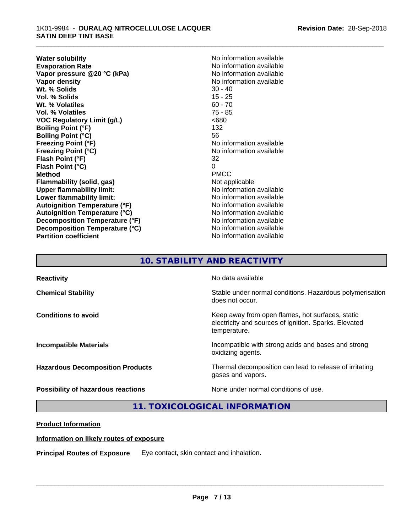**Water solubility**<br> **Evaporation Rate**<br> **Evaporation Rate**<br> **Evaporation Rate Vapor** pressure @20 °C (kPa) **Vapor density**<br> **We Solids**<br>
We Solids
20 - 40 **Wt. % Solids** 30 - 40<br> **Vol. % Solids** 30 - 40 **Vol. % Solids Wt.** % Volatiles 60 - 70 **Vol. % Volatiles** 75 - 85 **VOC Regulatory Limit (g/L)** <680 **Boiling Point (°F)** 132 **Boiling Point (°C)** 56 **Freezing Point (°F)** No information available **Freezing Point (°C)**<br> **Flash Point (°F)**<br> **Flash Point (°F)**<br> **Plash Point (°F)**<br> **C Flash Point (°F) Flash Point (°C)** 0 **Method** PMCC **Flammability (solid, gas)** Not applicable **Upper flammability limit:** No information available **Lower flammability limit:** No information available **Autoignition Temperature (°F)** No information available **Autoignition Temperature (°C)** No information available **Decomposition Temperature (°F)** No information available **Decomposition Temperature (°C)** No information available **Partition coefficient** No information available

No information available<br>No information available

\_\_\_\_\_\_\_\_\_\_\_\_\_\_\_\_\_\_\_\_\_\_\_\_\_\_\_\_\_\_\_\_\_\_\_\_\_\_\_\_\_\_\_\_\_\_\_\_\_\_\_\_\_\_\_\_\_\_\_\_\_\_\_\_\_\_\_\_\_\_\_\_\_\_\_\_\_\_\_\_\_\_\_\_\_\_\_\_\_\_\_\_\_

# **10. STABILITY AND REACTIVITY**

| <b>Reactivity</b>                       | No data available                                                                                                         |
|-----------------------------------------|---------------------------------------------------------------------------------------------------------------------------|
| <b>Chemical Stability</b>               | Stable under normal conditions. Hazardous polymerisation<br>does not occur.                                               |
| <b>Conditions to avoid</b>              | Keep away from open flames, hot surfaces, static<br>electricity and sources of ignition. Sparks. Elevated<br>temperature. |
| <b>Incompatible Materials</b>           | Incompatible with strong acids and bases and strong<br>oxidizing agents.                                                  |
| <b>Hazardous Decomposition Products</b> | Thermal decomposition can lead to release of irritating<br>gases and vapors.                                              |
| Possibility of hazardous reactions      | None under normal conditions of use.                                                                                      |

# **11. TOXICOLOGICAL INFORMATION**

#### **Product Information**

#### **Information on likely routes of exposure**

**Principal Routes of Exposure** Eye contact, skin contact and inhalation.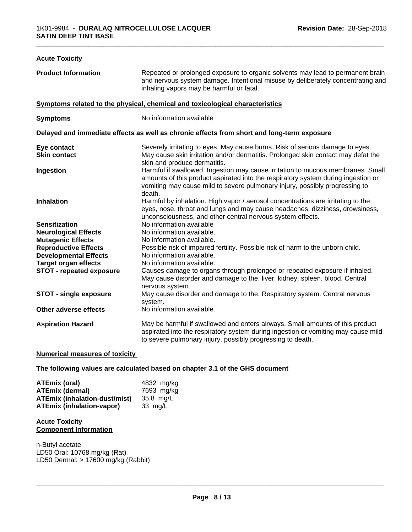| <b>Acute Toxicity</b>                                          |                                                                                                                                                                                                                                                               |  |  |
|----------------------------------------------------------------|---------------------------------------------------------------------------------------------------------------------------------------------------------------------------------------------------------------------------------------------------------------|--|--|
| <b>Product Information</b>                                     | Repeated or prolonged exposure to organic solvents may lead to permanent brain<br>and nervous system damage. Intentional misuse by deliberately concentrating and<br>inhaling vapors may be harmful or fatal.                                                 |  |  |
|                                                                | Symptoms related to the physical, chemical and toxicological characteristics                                                                                                                                                                                  |  |  |
| <b>Symptoms</b>                                                | No information available                                                                                                                                                                                                                                      |  |  |
|                                                                | Delayed and immediate effects as well as chronic effects from short and long-term exposure                                                                                                                                                                    |  |  |
| Eye contact<br><b>Skin contact</b>                             | Severely irritating to eyes. May cause burns. Risk of serious damage to eyes.<br>May cause skin irritation and/or dermatitis. Prolonged skin contact may defat the<br>skin and produce dermatitis.                                                            |  |  |
| Ingestion                                                      | Harmful if swallowed. Ingestion may cause irritation to mucous membranes. Small<br>amounts of this product aspirated into the respiratory system during ingestion or<br>vomiting may cause mild to severe pulmonary injury, possibly progressing to<br>death. |  |  |
| <b>Inhalation</b>                                              | Harmful by inhalation. High vapor / aerosol concentrations are irritating to the<br>eyes, nose, throat and lungs and may cause headaches, dizziness, drowsiness,<br>unconsciousness, and other central nervous system effects.                                |  |  |
| <b>Sensitization</b>                                           | No information available                                                                                                                                                                                                                                      |  |  |
| <b>Neurological Effects</b>                                    | No information available.                                                                                                                                                                                                                                     |  |  |
| <b>Mutagenic Effects</b>                                       | No information available.                                                                                                                                                                                                                                     |  |  |
| <b>Reproductive Effects</b>                                    | Possible risk of impaired fertility. Possible risk of harm to the unborn child.                                                                                                                                                                               |  |  |
| <b>Developmental Effects</b>                                   | No information available.<br>No information available.                                                                                                                                                                                                        |  |  |
| <b>Target organ effects</b><br><b>STOT - repeated exposure</b> | Causes damage to organs through prolonged or repeated exposure if inhaled.<br>May cause disorder and damage to the. liver. kidney. spleen. blood. Central<br>nervous system.                                                                                  |  |  |
| <b>STOT - single exposure</b>                                  | May cause disorder and damage to the. Respiratory system. Central nervous<br>system.                                                                                                                                                                          |  |  |
| Other adverse effects                                          | No information available.                                                                                                                                                                                                                                     |  |  |
| <b>Aspiration Hazard</b>                                       | May be harmful if swallowed and enters airways. Small amounts of this product<br>aspirated into the respiratory system during ingestion or vomiting may cause mild<br>to severe pulmonary injury, possibly progressing to death.                              |  |  |
|                                                                |                                                                                                                                                                                                                                                               |  |  |

#### **Numerical measures of toxicity**

**The following values are calculated based on chapter 3.1 of the GHS document**

| ATEmix (oral)                        | 4832 mg/ka |
|--------------------------------------|------------|
| <b>ATEmix (dermal)</b>               | 7693 mg/kg |
| <b>ATEmix (inhalation-dust/mist)</b> | 35.8 mg/L  |
| <b>ATEmix (inhalation-vapor)</b>     | 33 mg/L    |

#### **Acute Toxicity Component Information**

n-Butyl acetate LD50 Oral: 10768 mg/kg (Rat) LD50 Dermal: > 17600 mg/kg (Rabbit)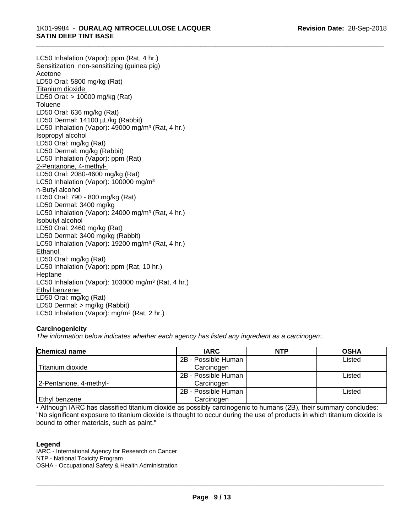LC50 Inhalation (Vapor): ppm (Rat, 4 hr.) Sensitization non-sensitizing (guinea pig) Acetone LD50 Oral: 5800 mg/kg (Rat) Titanium dioxide LD50 Oral: > 10000 mg/kg (Rat) Toluene LD50 Oral: 636 mg/kg (Rat) LD50 Dermal: 14100 µL/kg (Rabbit) LC50 Inhalation (Vapor): 49000 mg/m<sup>3</sup> (Rat, 4 hr.) Isopropyl alcohol LD50 Oral: mg/kg (Rat) LD50 Dermal: mg/kg (Rabbit) LC50 Inhalation (Vapor): ppm (Rat) 2-Pentanone, 4-methyl-LD50 Oral: 2080-4600 mg/kg (Rat) LC50 Inhalation (Vapor): 100000 mg/m<sup>3</sup> n-Butyl alcohol LD50 Oral: 790 - 800 mg/kg (Rat) LD50 Dermal: 3400 mg/kg LC50 Inhalation (Vapor): 24000 mg/m<sup>3</sup> (Rat, 4 hr.) Isobutyl alcohol LD50 Oral: 2460 mg/kg (Rat) LD50 Dermal: 3400 mg/kg (Rabbit) LC50 Inhalation (Vapor): 19200 mg/m<sup>3</sup> (Rat, 4 hr.) Ethanol LD50 Oral: mg/kg (Rat) LC50 Inhalation (Vapor): ppm (Rat, 10 hr.) Heptane LC50 Inhalation (Vapor): 103000 mg/m<sup>3</sup> (Rat, 4 hr.) Ethyl benzene LD50 Oral: mg/kg (Rat) LD50 Dermal: > mg/kg (Rabbit) LC50 Inhalation (Vapor): mg/m<sup>3</sup> (Rat, 2 hr.)

### **Carcinogenicity**

*The information below indicateswhether each agency has listed any ingredient as a carcinogen:.*

| <b>Chemical name</b>   | <b>IARC</b>         | <b>NTP</b> | <b>OSHA</b> |
|------------------------|---------------------|------------|-------------|
|                        | 2B - Possible Human |            | Listed      |
| Titanium dioxide       | Carcinogen          |            |             |
|                        | 2B - Possible Human |            | Listed      |
| 2-Pentanone, 4-methyl- | Carcinogen          |            |             |
|                        | 2B - Possible Human |            | Listed      |
| Ethyl benzene          | Carcinogen          |            |             |

• Although IARC has classified titanium dioxide as possibly carcinogenic to humans (2B), their summary concludes: "No significant exposure to titanium dioxide is thought to occur during the use of products in which titanium dioxide is bound to other materials, such as paint."

#### **Legend**

IARC - International Agency for Research on Cancer NTP - National Toxicity Program OSHA - Occupational Safety & Health Administration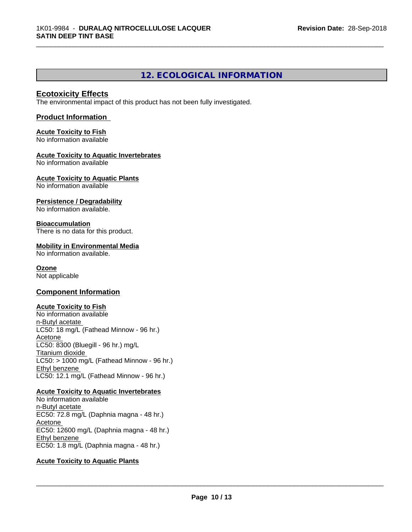# **12. ECOLOGICAL INFORMATION**

\_\_\_\_\_\_\_\_\_\_\_\_\_\_\_\_\_\_\_\_\_\_\_\_\_\_\_\_\_\_\_\_\_\_\_\_\_\_\_\_\_\_\_\_\_\_\_\_\_\_\_\_\_\_\_\_\_\_\_\_\_\_\_\_\_\_\_\_\_\_\_\_\_\_\_\_\_\_\_\_\_\_\_\_\_\_\_\_\_\_\_\_\_

#### **Ecotoxicity Effects**

The environmental impact of this product has not been fully investigated.

#### **Product Information**

## **Acute Toxicity to Fish**

No information available

#### **Acute Toxicity to Aquatic Invertebrates**

No information available

### **Acute Toxicity to Aquatic Plants**

No information available

#### **Persistence / Degradability**

No information available.

#### **Bioaccumulation**

There is no data for this product.

#### **Mobility in Environmental Media**

No information available.

#### **Ozone**

Not applicable

#### **Component Information**

#### **Acute Toxicity to Fish**

No information available n-Butyl acetate LC50: 18 mg/L (Fathead Minnow - 96 hr.) Acetone LC50: 8300 (Bluegill - 96 hr.) mg/L Titanium dioxide  $LC50:$  > 1000 mg/L (Fathead Minnow - 96 hr.) Ethyl benzene LC50: 12.1 mg/L (Fathead Minnow - 96 hr.)

#### **Acute Toxicity to Aquatic Invertebrates**

No information available n-Butyl acetate EC50: 72.8 mg/L (Daphnia magna - 48 hr.) Acetone EC50: 12600 mg/L (Daphnia magna - 48 hr.) Ethyl benzene EC50: 1.8 mg/L (Daphnia magna - 48 hr.)

#### **Acute Toxicity to Aquatic Plants**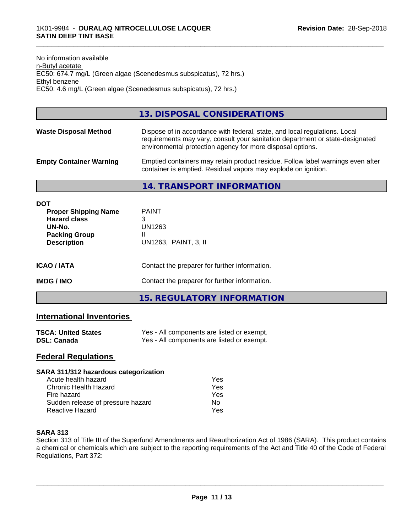| No information available                                          |  |
|-------------------------------------------------------------------|--|
| n-Butyl acetate                                                   |  |
| EC50: 674.7 mg/L (Green algae (Scenedesmus subspicatus), 72 hrs.) |  |
| Ethyl benzene                                                     |  |
| EC50: 4.6 mg/L (Green algae (Scenedesmus subspicatus), 72 hrs.)   |  |

#### **13. DISPOSAL CONSIDERATIONS**

| <b>Waste Disposal Method</b> | Dispose of in accordance with federal, state, and local regulations. Local    |
|------------------------------|-------------------------------------------------------------------------------|
|                              | requirements may vary, consult your sanitation department or state-designated |
|                              | environmental protection agency for more disposal options.                    |

**Empty Container Warning** Emptied containers may retain product residue. Follow label warnings even after container is emptied. Residual vapors may explode on ignition.

#### **14. TRANSPORT INFORMATION**

| <b>DOT</b><br><b>Proper Shipping Name</b><br><b>Hazard class</b><br>UN-No.<br><b>Packing Group</b><br><b>Description</b> | <b>PAINT</b><br>3<br>UN1263<br>UN1263, PAINT, 3, II |  |
|--------------------------------------------------------------------------------------------------------------------------|-----------------------------------------------------|--|
| <b>ICAO/IATA</b>                                                                                                         | Contact the preparer for further information.       |  |
| <b>IMDG/IMO</b>                                                                                                          | Contact the preparer for further information.       |  |
|                                                                                                                          | 15. REGULATORY INFORMATION                          |  |

# **International Inventories**

| <b>TSCA: United States</b> | Yes - All components are listed or exempt. |
|----------------------------|--------------------------------------------|
| <b>DSL: Canada</b>         | Yes - All components are listed or exempt. |

### **Federal Regulations**

#### **SARA 311/312 hazardous categorization** Acute health hazard

| 152 |
|-----|
| Yes |
| Yes |
| Nο  |
| Yes |
|     |

#### **SARA 313**

Section 313 of Title III of the Superfund Amendments and Reauthorization Act of 1986 (SARA). This product contains a chemical or chemicals which are subject to the reporting requirements of the Act and Title 40 of the Code of Federal Regulations, Part 372: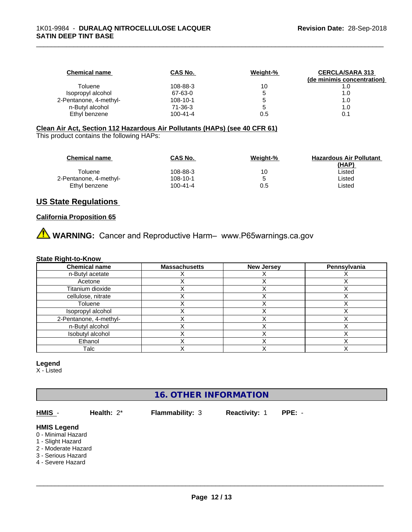| <b>Chemical name</b>   | CAS No.        | Weight-% | <b>CERCLA/SARA 313</b>     |
|------------------------|----------------|----------|----------------------------|
|                        |                |          | (de minimis concentration) |
| Toluene                | 108-88-3       | 10       |                            |
| Isopropyl alcohol      | 67-63-0        |          | 1.0                        |
| 2-Pentanone, 4-methyl- | $108 - 10 - 1$ |          | 1.0                        |
| n-Butyl alcohol        | 71-36-3        |          | 1.0                        |
| Ethyl benzene          | $100 - 41 - 4$ | 0.5      | 0.1                        |

\_\_\_\_\_\_\_\_\_\_\_\_\_\_\_\_\_\_\_\_\_\_\_\_\_\_\_\_\_\_\_\_\_\_\_\_\_\_\_\_\_\_\_\_\_\_\_\_\_\_\_\_\_\_\_\_\_\_\_\_\_\_\_\_\_\_\_\_\_\_\_\_\_\_\_\_\_\_\_\_\_\_\_\_\_\_\_\_\_\_\_\_\_

### **Clean Air Act,Section 112 Hazardous Air Pollutants (HAPs) (see 40 CFR 61)**

This product contains the following HAPs:

| Chemical name          | CAS No.  | Weight-% | <b>Hazardous Air Pollutant</b> |
|------------------------|----------|----------|--------------------------------|
|                        |          |          | (HAP)                          |
| Toluene                | 108-88-3 | 10       | ∟isted                         |
| 2-Pentanone, 4-methyl- | 108-10-1 |          | ∟isted                         |
| Ethyl benzene          | 100-41-4 | 0.5      | Listed                         |

# **US State Regulations**

#### **California Proposition 65**

**A WARNING:** Cancer and Reproductive Harm– www.P65warnings.ca.gov

#### **State Right-to-Know**

| <b>Chemical name</b>   | <b>Massachusetts</b> | <b>New Jersey</b> | Pennsylvania |
|------------------------|----------------------|-------------------|--------------|
| n-Butyl acetate        |                      |                   |              |
| Acetone                |                      |                   |              |
| Titanium dioxide       |                      |                   |              |
| cellulose, nitrate     |                      |                   |              |
| Toluene                |                      |                   |              |
| Isopropyl alcohol      |                      |                   |              |
| 2-Pentanone, 4-methyl- |                      |                   |              |
| n-Butyl alcohol        |                      |                   |              |
| Isobutyl alcohol       |                      |                   |              |
| Ethanol                |                      |                   |              |
| Talc                   |                      |                   |              |

#### **Legend**

X - Listed

# **16. OTHER INFORMATION**

```
HMIS - Health: 2* Flammability: 3 Reactivity: 1 PPE: -
HMIS Legend
0 - Minimal Hazard
```
1 - Slight Hazard

2 - Moderate Hazard

3 - Serious Hazard

4 - Severe Hazard